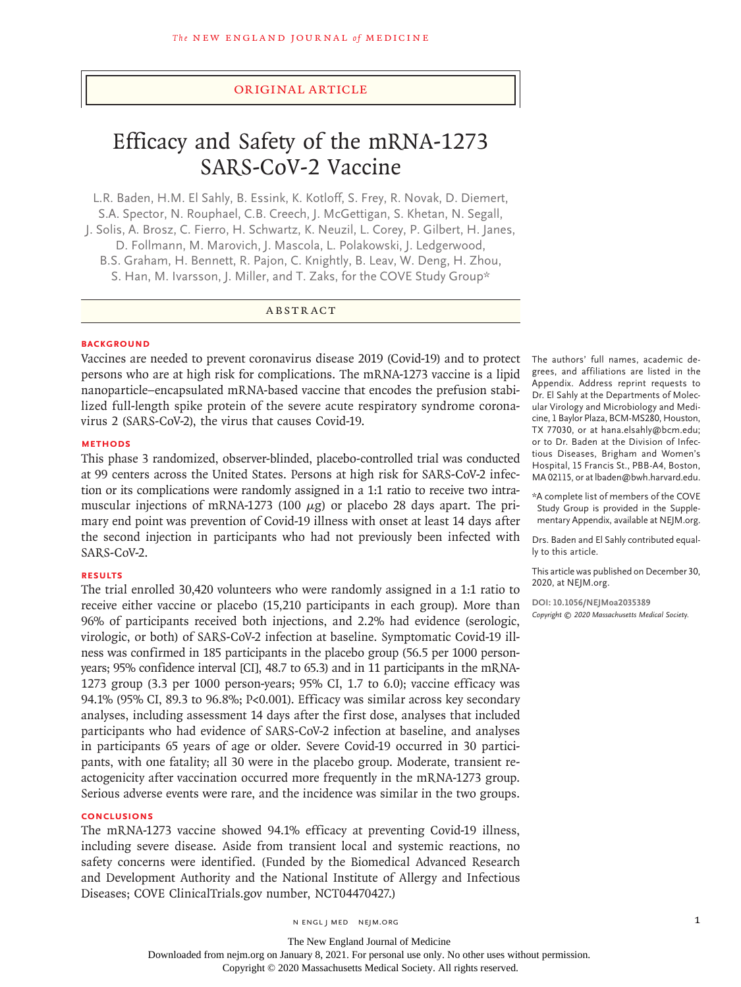#### Original Article

# Efficacy and Safety of the mRNA-1273 SARS-CoV-2 Vaccine

L.R. Baden, H.M. El Sahly, B. Essink, K. Kotloff, S. Frey, R. Novak, D. Diemert, S.A. Spector, N. Rouphael, C.B. Creech, J. McGettigan, S. Khetan, N. Segall, J. Solis, A. Brosz, C. Fierro, H. Schwartz, K. Neuzil, L. Corey, P. Gilbert, H. Janes, D. Follmann, M. Marovich, J. Mascola, L. Polakowski, J. Ledgerwood, B.S. Graham, H. Bennett, R. Pajon, C. Knightly, B. Leav, W. Deng, H. Zhou,

S. Han, M. Ivarsson, J. Miller, and T. Zaks, for the COVE Study Group\*

# ABSTRACT

#### **BACKGROUND**

Vaccines are needed to prevent coronavirus disease 2019 (Covid-19) and to protect The authors' full names, academic depersons who are at high risk for complications. The mRNA-1273 vaccine is a lipid nanoparticle–encapsulated mRNA-based vaccine that encodes the prefusion stabilized full-length spike protein of the severe acute respiratory syndrome coronavirus 2 (SARS-CoV-2), the virus that causes Covid-19.

#### **METHODS**

This phase 3 randomized, observer-blinded, placebo-controlled trial was conducted at 99 centers across the United States. Persons at high risk for SARS-CoV-2 infection or its complications were randomly assigned in a 1:1 ratio to receive two intramuscular injections of mRNA-1273 (100  $\mu$ g) or placebo 28 days apart. The primary end point was prevention of Covid-19 illness with onset at least 14 days after the second injection in participants who had not previously been infected with SARS-CoV-2.

# **RESULTS**

The trial enrolled 30,420 volunteers who were randomly assigned in a 1:1 ratio to receive either vaccine or placebo (15,210 participants in each group). More than 96% of participants received both injections, and 2.2% had evidence (serologic, virologic, or both) of SARS-CoV-2 infection at baseline. Symptomatic Covid-19 illness was confirmed in 185 participants in the placebo group (56.5 per 1000 personyears; 95% confidence interval [CI], 48.7 to 65.3) and in 11 participants in the mRNA-1273 group (3.3 per 1000 person-years; 95% CI, 1.7 to 6.0); vaccine efficacy was 94.1% (95% CI, 89.3 to 96.8%; P<0.001). Efficacy was similar across key secondary analyses, including assessment 14 days after the first dose, analyses that included participants who had evidence of SARS-CoV-2 infection at baseline, and analyses in participants 65 years of age or older. Severe Covid-19 occurred in 30 participants, with one fatality; all 30 were in the placebo group. Moderate, transient reactogenicity after vaccination occurred more frequently in the mRNA-1273 group. Serious adverse events were rare, and the incidence was similar in the two groups.

#### **CONCLUSIONS**

The mRNA-1273 vaccine showed 94.1% efficacy at preventing Covid-19 illness, including severe disease. Aside from transient local and systemic reactions, no safety concerns were identified. (Funded by the Biomedical Advanced Research and Development Authority and the National Institute of Allergy and Infectious Diseases; COVE ClinicalTrials.gov number, NCT04470427.)

grees, and affiliations are listed in the Appendix. Address reprint requests to Dr. El Sahly at the Departments of Molecular Virology and Microbiology and Medicine, 1 Baylor Plaza, BCM-MS280, Houston, TX 77030, or at hana.elsahly@bcm.edu; or to Dr. Baden at the Division of Infectious Diseases, Brigham and Women's Hospital, 15 Francis St., PBB-A4, Boston, MA 02115, or at lbaden@bwh.harvard.edu.

\*A complete list of members of the COVE Study Group is provided in the Supplementary Appendix, available at NEJM.org.

Drs. Baden and El Sahly contributed equally to this article.

This article was published on December 30, 2020, at NEJM.org.

**DOI: 10.1056/NEJMoa2035389** *Copyright © 2020 Massachusetts Medical Society.*

The New England Journal of Medicine Downloaded from nejm.org on January 8, 2021. For personal use only. No other uses without permission.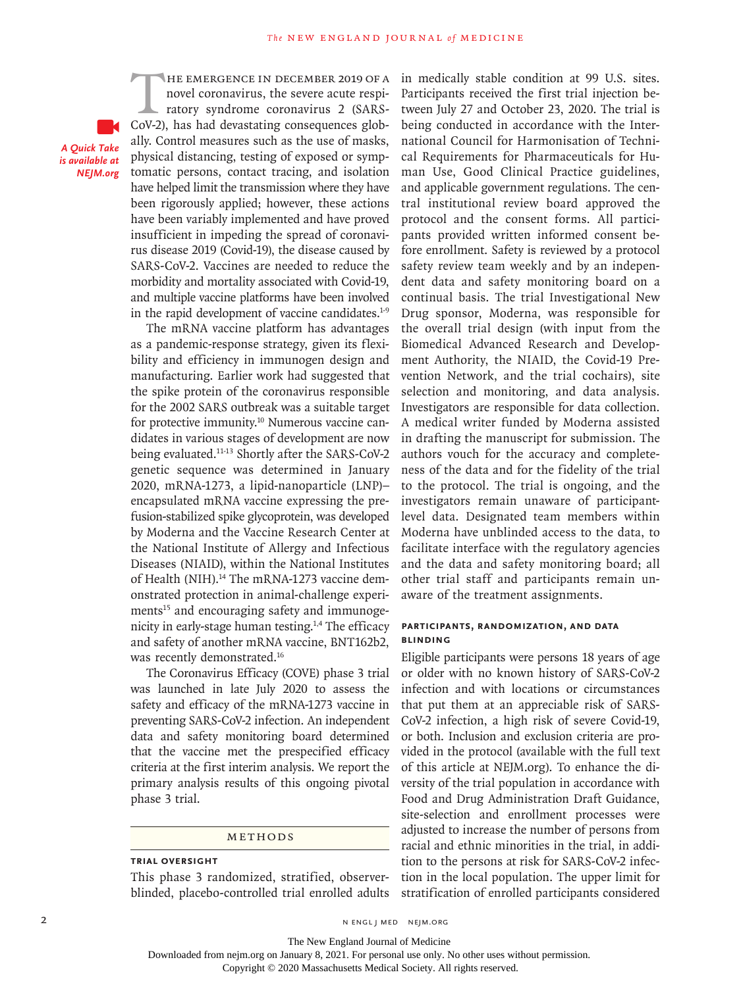*A Quick Take is available at NEJM.org*

THE EMERGENCE IN DECEMBER 2019 OF A<br>novel coronavirus, the severe acute respiratory syndrome coronavirus 2 (SARS-CoV-2). has had devastating consequences globnovel coronavirus, the severe acute respiratory syndrome coronavirus 2 (SARS-CoV-2), has had devastating consequences globally. Control measures such as the use of masks, physical distancing, testing of exposed or symptomatic persons, contact tracing, and isolation have helped limit the transmission where they have been rigorously applied; however, these actions have been variably implemented and have proved insufficient in impeding the spread of coronavirus disease 2019 (Covid-19), the disease caused by SARS-CoV-2. Vaccines are needed to reduce the morbidity and mortality associated with Covid-19, and multiple vaccine platforms have been involved in the rapid development of vaccine candidates.<sup>1-9</sup>

The mRNA vaccine platform has advantages as a pandemic-response strategy, given its flexibility and efficiency in immunogen design and manufacturing. Earlier work had suggested that the spike protein of the coronavirus responsible for the 2002 SARS outbreak was a suitable target for protective immunity.<sup>10</sup> Numerous vaccine candidates in various stages of development are now being evaluated.11-13 Shortly after the SARS-CoV-2 genetic sequence was determined in January 2020, mRNA-1273, a lipid-nanoparticle (LNP)– encapsulated mRNA vaccine expressing the prefusion-stabilized spike glycoprotein, was developed by Moderna and the Vaccine Research Center at the National Institute of Allergy and Infectious Diseases (NIAID), within the National Institutes of Health (NIH).<sup>14</sup> The mRNA-1273 vaccine demonstrated protection in animal-challenge experiments<sup>15</sup> and encouraging safety and immunogenicity in early-stage human testing.1,4 The efficacy and safety of another mRNA vaccine, BNT162b2, was recently demonstrated.<sup>16</sup>

The Coronavirus Efficacy (COVE) phase 3 trial was launched in late July 2020 to assess the safety and efficacy of the mRNA-1273 vaccine in preventing SARS-CoV-2 infection. An independent data and safety monitoring board determined that the vaccine met the prespecified efficacy criteria at the first interim analysis. We report the primary analysis results of this ongoing pivotal phase 3 trial.

#### Methods

#### **Trial Oversight**

This phase 3 randomized, stratified, observerblinded, placebo-controlled trial enrolled adults in medically stable condition at 99 U.S. sites. Participants received the first trial injection between July 27 and October 23, 2020. The trial is being conducted in accordance with the International Council for Harmonisation of Technical Requirements for Pharmaceuticals for Human Use, Good Clinical Practice guidelines, and applicable government regulations. The central institutional review board approved the protocol and the consent forms. All participants provided written informed consent before enrollment. Safety is reviewed by a protocol safety review team weekly and by an independent data and safety monitoring board on a continual basis. The trial Investigational New Drug sponsor, Moderna, was responsible for the overall trial design (with input from the Biomedical Advanced Research and Development Authority, the NIAID, the Covid-19 Prevention Network, and the trial cochairs), site selection and monitoring, and data analysis. Investigators are responsible for data collection. A medical writer funded by Moderna assisted in drafting the manuscript for submission. The authors vouch for the accuracy and completeness of the data and for the fidelity of the trial to the protocol. The trial is ongoing, and the investigators remain unaware of participantlevel data. Designated team members within Moderna have unblinded access to the data, to facilitate interface with the regulatory agencies and the data and safety monitoring board; all other trial staff and participants remain unaware of the treatment assignments.

# **Participants, Randomization, and Data Blinding**

Eligible participants were persons 18 years of age or older with no known history of SARS-CoV-2 infection and with locations or circumstances that put them at an appreciable risk of SARS-CoV-2 infection, a high risk of severe Covid-19, or both. Inclusion and exclusion criteria are provided in the protocol (available with the full text of this article at NEJM.org). To enhance the diversity of the trial population in accordance with Food and Drug Administration Draft Guidance, site-selection and enrollment processes were adjusted to increase the number of persons from racial and ethnic minorities in the trial, in addition to the persons at risk for SARS-CoV-2 infection in the local population. The upper limit for stratification of enrolled participants considered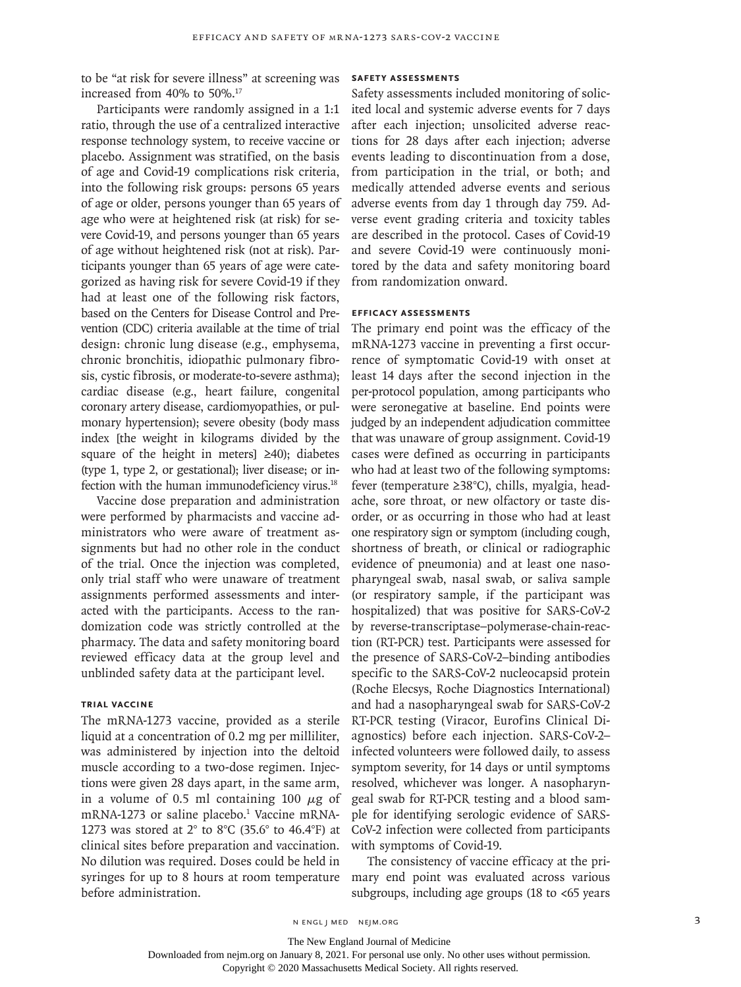to be "at risk for severe illness" at screening was increased from 40% to 50%.<sup>17</sup>

Participants were randomly assigned in a 1:1 ratio, through the use of a centralized interactive response technology system, to receive vaccine or placebo. Assignment was stratified, on the basis of age and Covid-19 complications risk criteria, into the following risk groups: persons 65 years of age or older, persons younger than 65 years of age who were at heightened risk (at risk) for severe Covid-19, and persons younger than 65 years of age without heightened risk (not at risk). Participants younger than 65 years of age were categorized as having risk for severe Covid-19 if they had at least one of the following risk factors, based on the Centers for Disease Control and Prevention (CDC) criteria available at the time of trial design: chronic lung disease (e.g., emphysema, chronic bronchitis, idiopathic pulmonary fibrosis, cystic fibrosis, or moderate-to-severe asthma); cardiac disease (e.g., heart failure, congenital coronary artery disease, cardiomyopathies, or pulmonary hypertension); severe obesity (body mass index [the weight in kilograms divided by the square of the height in meters] ≥40); diabetes (type 1, type 2, or gestational); liver disease; or infection with the human immunodeficiency virus.<sup>18</sup>

Vaccine dose preparation and administration were performed by pharmacists and vaccine administrators who were aware of treatment assignments but had no other role in the conduct of the trial. Once the injection was completed, only trial staff who were unaware of treatment assignments performed assessments and interacted with the participants. Access to the randomization code was strictly controlled at the pharmacy. The data and safety monitoring board reviewed efficacy data at the group level and unblinded safety data at the participant level.

# **Trial Vaccine**

The mRNA-1273 vaccine, provided as a sterile liquid at a concentration of 0.2 mg per milliliter, was administered by injection into the deltoid muscle according to a two-dose regimen. Injections were given 28 days apart, in the same arm, in a volume of 0.5 ml containing 100  $\mu$ g of mRNA-1273 or saline placebo.<sup>1</sup> Vaccine mRNA-1273 was stored at  $2^{\circ}$  to  $8^{\circ}$ C (35.6 $^{\circ}$  to 46.4 $^{\circ}$ F) at clinical sites before preparation and vaccination. No dilution was required. Doses could be held in syringes for up to 8 hours at room temperature before administration.

#### **Safety Assessments**

Safety assessments included monitoring of solicited local and systemic adverse events for 7 days after each injection; unsolicited adverse reactions for 28 days after each injection; adverse events leading to discontinuation from a dose, from participation in the trial, or both; and medically attended adverse events and serious adverse events from day 1 through day 759. Adverse event grading criteria and toxicity tables are described in the protocol. Cases of Covid-19 and severe Covid-19 were continuously monitored by the data and safety monitoring board from randomization onward.

#### **Efficacy Assessments**

The primary end point was the efficacy of the mRNA-1273 vaccine in preventing a first occurrence of symptomatic Covid-19 with onset at least 14 days after the second injection in the per-protocol population, among participants who were seronegative at baseline. End points were judged by an independent adjudication committee that was unaware of group assignment. Covid-19 cases were defined as occurring in participants who had at least two of the following symptoms: fever (temperature ≥38°C), chills, myalgia, headache, sore throat, or new olfactory or taste disorder, or as occurring in those who had at least one respiratory sign or symptom (including cough, shortness of breath, or clinical or radiographic evidence of pneumonia) and at least one nasopharyngeal swab, nasal swab, or saliva sample (or respiratory sample, if the participant was hospitalized) that was positive for SARS-CoV-2 by reverse-transcriptase–polymerase-chain-reaction (RT-PCR) test. Participants were assessed for the presence of SARS-CoV-2–binding antibodies specific to the SARS-CoV-2 nucleocapsid protein (Roche Elecsys, Roche Diagnostics International) and had a nasopharyngeal swab for SARS-CoV-2 RT-PCR testing (Viracor, Eurofins Clinical Diagnostics) before each injection. SARS-CoV-2– infected volunteers were followed daily, to assess symptom severity, for 14 days or until symptoms resolved, whichever was longer. A nasopharyngeal swab for RT-PCR testing and a blood sample for identifying serologic evidence of SARS-CoV-2 infection were collected from participants with symptoms of Covid-19.

The consistency of vaccine efficacy at the primary end point was evaluated across various subgroups, including age groups (18 to <65 years

n engl j med nejm.org 3

Downloaded from nejm.org on January 8, 2021. For personal use only. No other uses without permission.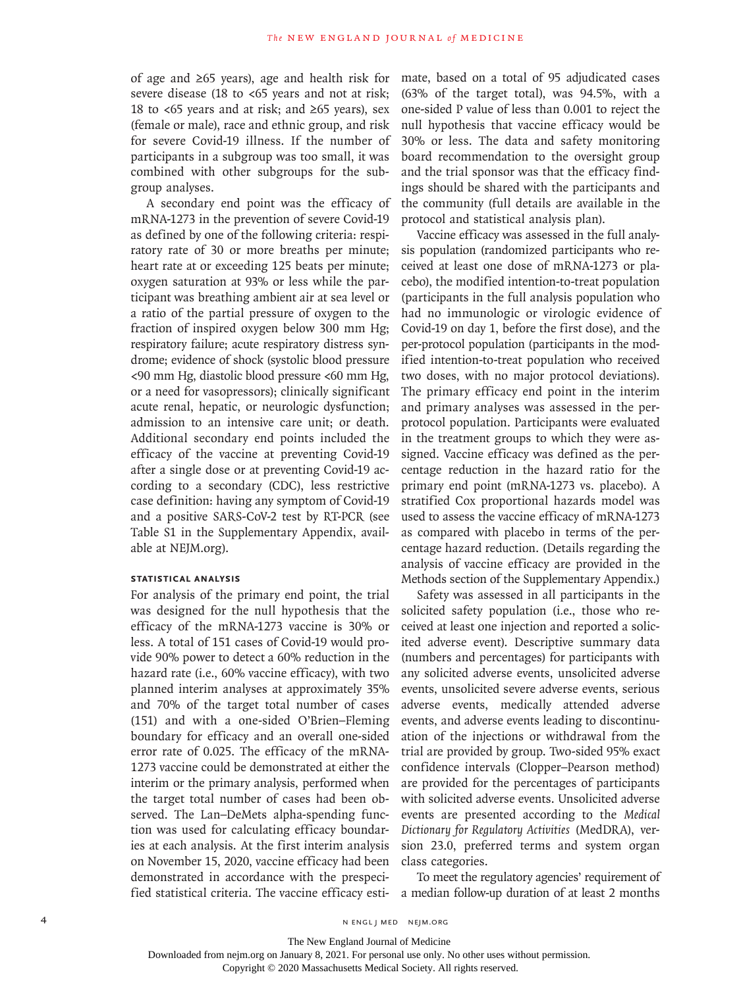of age and ≥65 years), age and health risk for severe disease (18 to <65 years and not at risk; 18 to <65 years and at risk; and ≥65 years), sex (female or male), race and ethnic group, and risk for severe Covid-19 illness. If the number of participants in a subgroup was too small, it was combined with other subgroups for the subgroup analyses.

A secondary end point was the efficacy of mRNA-1273 in the prevention of severe Covid-19 as defined by one of the following criteria: respiratory rate of 30 or more breaths per minute; heart rate at or exceeding 125 beats per minute; oxygen saturation at 93% or less while the participant was breathing ambient air at sea level or a ratio of the partial pressure of oxygen to the fraction of inspired oxygen below 300 mm Hg; respiratory failure; acute respiratory distress syndrome; evidence of shock (systolic blood pressure <90 mm Hg, diastolic blood pressure <60 mm Hg, or a need for vasopressors); clinically significant acute renal, hepatic, or neurologic dysfunction; admission to an intensive care unit; or death. Additional secondary end points included the efficacy of the vaccine at preventing Covid-19 after a single dose or at preventing Covid-19 according to a secondary (CDC), less restrictive case definition: having any symptom of Covid-19 and a positive SARS-CoV-2 test by RT-PCR (see Table S1 in the Supplementary Appendix, available at NEJM.org).

# **Statistical Analysis**

For analysis of the primary end point, the trial was designed for the null hypothesis that the efficacy of the mRNA-1273 vaccine is 30% or less. A total of 151 cases of Covid-19 would provide 90% power to detect a 60% reduction in the hazard rate (i.e., 60% vaccine efficacy), with two planned interim analyses at approximately 35% and 70% of the target total number of cases (151) and with a one-sided O'Brien–Fleming boundary for efficacy and an overall one-sided error rate of 0.025. The efficacy of the mRNA-1273 vaccine could be demonstrated at either the interim or the primary analysis, performed when the target total number of cases had been observed. The Lan–DeMets alpha-spending function was used for calculating efficacy boundaries at each analysis. At the first interim analysis on November 15, 2020, vaccine efficacy had been demonstrated in accordance with the prespecified statistical criteria. The vaccine efficacy estimate, based on a total of 95 adjudicated cases (63% of the target total), was 94.5%, with a one-sided P value of less than 0.001 to reject the null hypothesis that vaccine efficacy would be 30% or less. The data and safety monitoring board recommendation to the oversight group and the trial sponsor was that the efficacy findings should be shared with the participants and the community (full details are available in the protocol and statistical analysis plan).

Vaccine efficacy was assessed in the full analysis population (randomized participants who received at least one dose of mRNA-1273 or placebo), the modified intention-to-treat population (participants in the full analysis population who had no immunologic or virologic evidence of Covid-19 on day 1, before the first dose), and the per-protocol population (participants in the modified intention-to-treat population who received two doses, with no major protocol deviations). The primary efficacy end point in the interim and primary analyses was assessed in the perprotocol population. Participants were evaluated in the treatment groups to which they were assigned. Vaccine efficacy was defined as the percentage reduction in the hazard ratio for the primary end point (mRNA-1273 vs. placebo). A stratified Cox proportional hazards model was used to assess the vaccine efficacy of mRNA-1273 as compared with placebo in terms of the percentage hazard reduction. (Details regarding the analysis of vaccine efficacy are provided in the Methods section of the Supplementary Appendix.)

Safety was assessed in all participants in the solicited safety population (i.e., those who received at least one injection and reported a solicited adverse event). Descriptive summary data (numbers and percentages) for participants with any solicited adverse events, unsolicited adverse events, unsolicited severe adverse events, serious adverse events, medically attended adverse events, and adverse events leading to discontinuation of the injections or withdrawal from the trial are provided by group. Two-sided 95% exact confidence intervals (Clopper–Pearson method) are provided for the percentages of participants with solicited adverse events. Unsolicited adverse events are presented according to the *Medical Dictionary for Regulatory Activities* (MedDRA), version 23.0, preferred terms and system organ class categories.

To meet the regulatory agencies' requirement of a median follow-up duration of at least 2 months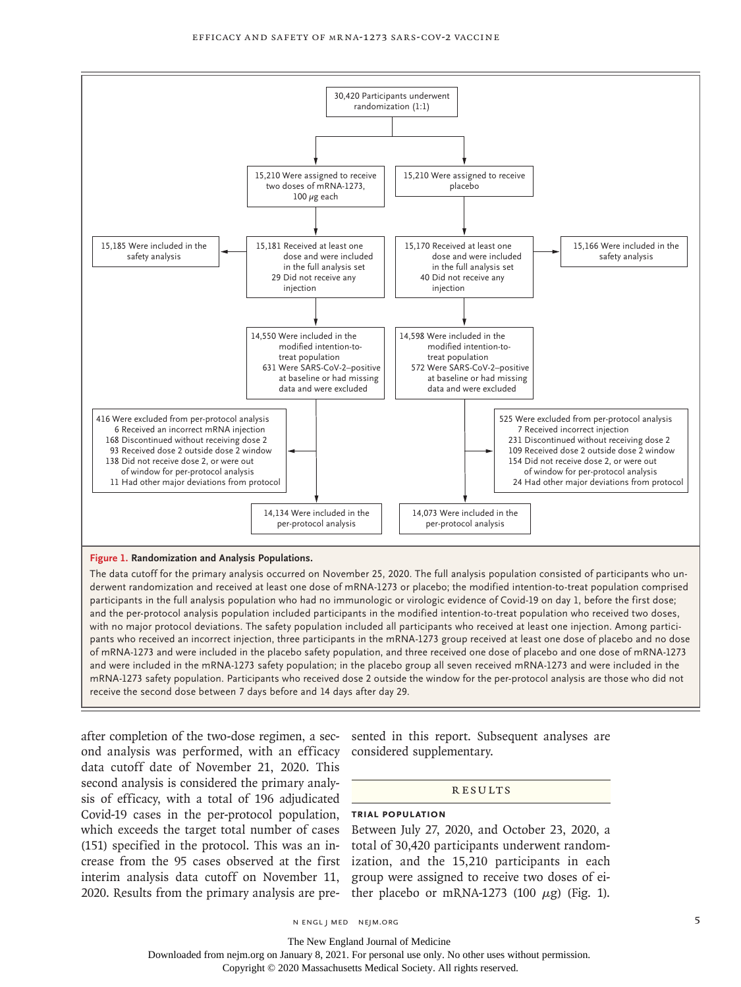

#### **Figure 1. Randomization and Analysis Populations.**

The data cutoff for the primary analysis occurred on November 25, 2020. The full analysis population consisted of participants who underwent randomization and received at least one dose of mRNA-1273 or placebo; the modified intention-to-treat population comprised participants in the full analysis population who had no immunologic or virologic evidence of Covid-19 on day 1, before the first dose; and the per-protocol analysis population included participants in the modified intention-to-treat population who received two doses, with no major protocol deviations. The safety population included all participants who received at least one injection. Among participants who received an incorrect injection, three participants in the mRNA-1273 group received at least one dose of placebo and no dose of mRNA-1273 and were included in the placebo safety population, and three received one dose of placebo and one dose of mRNA-1273 and were included in the mRNA-1273 safety population; in the placebo group all seven received mRNA-1273 and were included in the mRNA-1273 safety population. Participants who received dose 2 outside the window for the per-protocol analysis are those who did not receive the second dose between 7 days before and 14 days after day 29.

after completion of the two-dose regimen, a sec-sented in this report. Subsequent analyses are ond analysis was performed, with an efficacy considered supplementary. data cutoff date of November 21, 2020. This second analysis is considered the primary analysis of efficacy, with a total of 196 adjudicated Covid-19 cases in the per-protocol population, **Trial Population** which exceeds the target total number of cases Between July 27, 2020, and October 23, 2020, a (151) specified in the protocol. This was an in-total of 30,420 participants underwent randomcrease from the 95 cases observed at the first ization, and the 15,210 participants in each interim analysis data cutoff on November 11, group were assigned to receive two doses of ei-2020. Results from the primary analysis are pre- ther placebo or  $mRNA-1273$  (100  $\mu$ g) (Fig. 1).

#### **RESULTS**

The New England Journal of Medicine

Downloaded from nejm.org on January 8, 2021. For personal use only. No other uses without permission.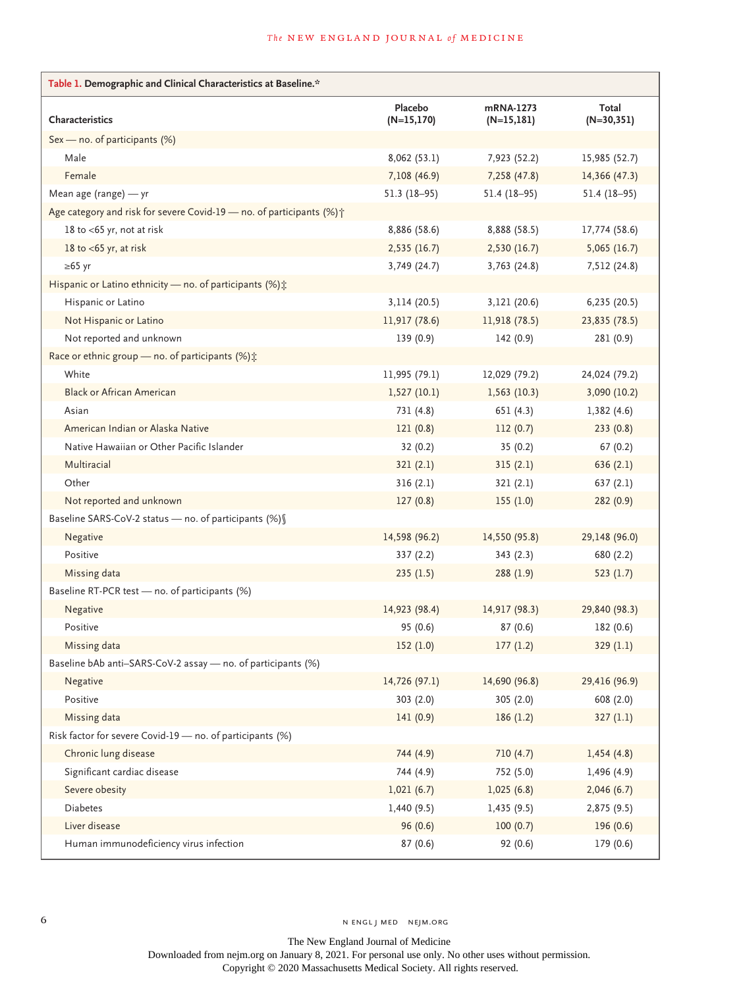# **The NEW ENGLAND JOURNAL of MEDICINE**

| Table 1. Demographic and Clinical Characteristics at Baseline.*       |                          |                            |                       |  |  |  |  |
|-----------------------------------------------------------------------|--------------------------|----------------------------|-----------------------|--|--|--|--|
| Characteristics                                                       | Placebo<br>$(N=15, 170)$ | mRNA-1273<br>$(N=15, 181)$ | Total<br>$(N=30,351)$ |  |  |  |  |
| Sex - no. of participants (%)                                         |                          |                            |                       |  |  |  |  |
| Male                                                                  | 8,062(53.1)              | 7,923 (52.2)               | 15,985 (52.7)         |  |  |  |  |
| Female                                                                | 7,108 (46.9)             | 7,258 (47.8)               | 14,366 (47.3)         |  |  |  |  |
| Mean age (range) - yr                                                 | $51.3(18-95)$            | $51.4(18-95)$              | $51.4(18-95)$         |  |  |  |  |
| Age category and risk for severe Covid-19 - no. of participants (%) + |                          |                            |                       |  |  |  |  |
| 18 to <65 yr, not at risk                                             | 8,886 (58.6)             | 8,888 (58.5)               | 17,774 (58.6)         |  |  |  |  |
| 18 to $<$ 65 yr, at risk                                              | 2,535(16.7)              | 2,530 (16.7)               | 5,065(16.7)           |  |  |  |  |
| $\geq 65$ yr                                                          | 3,749 (24.7)             | 3,763 (24.8)               | 7,512 (24.8)          |  |  |  |  |
| Hispanic or Latino ethnicity – no. of participants (%) $\ddot{x}$     |                          |                            |                       |  |  |  |  |
| Hispanic or Latino                                                    | 3,114 (20.5)             | 3,121 (20.6)               | 6,235 (20.5)          |  |  |  |  |
| Not Hispanic or Latino                                                | 11,917 (78.6)            | 11,918 (78.5)              | 23,835 (78.5)         |  |  |  |  |
| Not reported and unknown                                              | 139(0.9)                 | 142 (0.9)                  | 281 (0.9)             |  |  |  |  |
| Race or ethnic group - no. of participants (%);                       |                          |                            |                       |  |  |  |  |
| White                                                                 | 11,995 (79.1)            | 12,029 (79.2)              | 24,024 (79.2)         |  |  |  |  |
| <b>Black or African American</b>                                      | 1,527(10.1)              | 1,563(10.3)                | 3,090 (10.2)          |  |  |  |  |
| Asian                                                                 | 731(4.8)                 | 651 (4.3)                  | 1,382(4.6)            |  |  |  |  |
| American Indian or Alaska Native                                      | 121(0.8)                 | 112(0.7)                   | 233(0.8)              |  |  |  |  |
| Native Hawaiian or Other Pacific Islander                             | 32(0.2)                  | 35(0.2)                    | 67(0.2)               |  |  |  |  |
| Multiracial                                                           | 321(2.1)                 | 315(2.1)                   | 636(2.1)              |  |  |  |  |
| Other                                                                 | 316(2.1)                 | 321(2.1)                   | 637(2.1)              |  |  |  |  |
| Not reported and unknown                                              | 127(0.8)                 | 155(1.0)                   | 282 (0.9)             |  |  |  |  |
| Baseline SARS-CoV-2 status - no. of participants (%) [                |                          |                            |                       |  |  |  |  |
| Negative                                                              | 14,598 (96.2)            | 14,550 (95.8)              | 29,148 (96.0)         |  |  |  |  |
| Positive                                                              | 337(2.2)                 | 343(2.3)                   | 680 (2.2)             |  |  |  |  |
| Missing data                                                          | 235(1.5)                 | 288(1.9)                   | 523(1.7)              |  |  |  |  |
| Baseline RT-PCR test - no. of participants (%)                        |                          |                            |                       |  |  |  |  |
| Negative                                                              | 14,923 (98.4)            | 14,917 (98.3)              | 29,840 (98.3)         |  |  |  |  |
| Positive                                                              | 95 (0.6)                 | 87(0.6)                    | 182 (0.6)             |  |  |  |  |
| Missing data                                                          | 152(1.0)                 | 177(1.2)                   | 329 (1.1)             |  |  |  |  |
| Baseline bAb anti-SARS-CoV-2 assay - no. of participants (%)          |                          |                            |                       |  |  |  |  |
| Negative                                                              | 14,726 (97.1)            | 14,690 (96.8)              | 29,416 (96.9)         |  |  |  |  |
| Positive                                                              | 303(2.0)                 | 305 (2.0)                  | 608 (2.0)             |  |  |  |  |
| Missing data                                                          | 141(0.9)                 | 186(1.2)                   | 327(1.1)              |  |  |  |  |
| Risk factor for severe Covid-19 - no. of participants (%)             |                          |                            |                       |  |  |  |  |
| Chronic lung disease                                                  | 744 (4.9)                | 710 (4.7)                  | 1,454(4.8)            |  |  |  |  |
| Significant cardiac disease                                           | 744 (4.9)                | 752 (5.0)                  | 1,496(4.9)            |  |  |  |  |
| Severe obesity                                                        | 1,021(6.7)               | 1,025(6.8)                 | 2,046(6.7)            |  |  |  |  |
| <b>Diabetes</b>                                                       | 1,440(9.5)               | 1,435(9.5)                 | 2,875(9.5)            |  |  |  |  |
| Liver disease                                                         | 96(0.6)                  | 100(0.7)                   | 196 (0.6)             |  |  |  |  |
| Human immunodeficiency virus infection                                | 87(0.6)                  | 92(0.6)                    | 179 (0.6)             |  |  |  |  |

The New England Journal of Medicine Downloaded from nejm.org on January 8, 2021. For personal use only. No other uses without permission. Copyright © 2020 Massachusetts Medical Society. All rights reserved.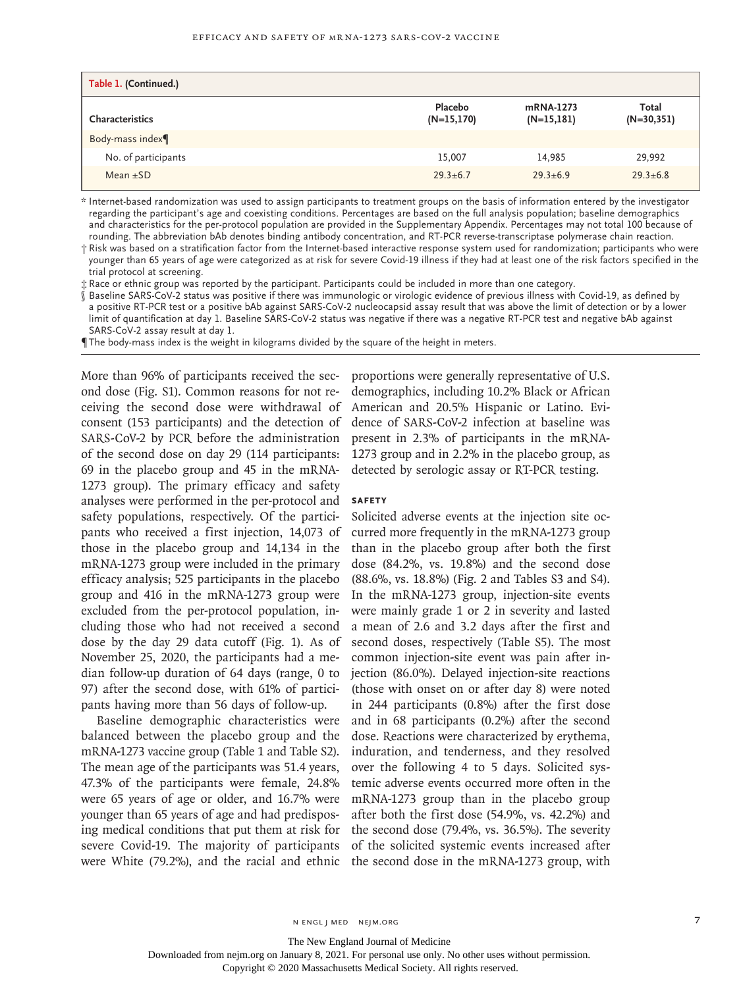| Table 1. (Continued.) |                         |                           |                       |
|-----------------------|-------------------------|---------------------------|-----------------------|
| Characteristics       | Placebo<br>$(N=15,170)$ | mRNA-1273<br>$(N=15,181)$ | Total<br>$(N=30,351)$ |
| Body-mass index¶      |                         |                           |                       |
| No. of participants   | 15,007                  | 14,985                    | 29,992                |
| Mean $\pm$ SD         | $29.3 \pm 6.7$          | $29.3 + 6.9$              | $29.3 \pm 6.8$        |

\* Internet-based randomization was used to assign participants to treatment groups on the basis of information entered by the investigator regarding the participant's age and coexisting conditions. Percentages are based on the full analysis population; baseline demographics and characteristics for the per-protocol population are provided in the Supplementary Appendix. Percentages may not total 100 because of rounding. The abbreviation bAb denotes binding antibody concentration, and RT-PCR reverse-transcriptase polymerase chain reaction.

† Risk was based on a stratification factor from the Internet-based interactive response system used for randomization; participants who were younger than 65 years of age were categorized as at risk for severe Covid-19 illness if they had at least one of the risk factors specified in the trial protocol at screening.

‡ Race or ethnic group was reported by the participant. Participants could be included in more than one category.

Baseline SARS-CoV-2 status was positive if there was immunologic or virologic evidence of previous illness with Covid-19, as defined by a positive RT-PCR test or a positive bAb against SARS-CoV-2 nucleocapsid assay result that was above the limit of detection or by a lower limit of quantification at day 1. Baseline SARS-CoV-2 status was negative if there was a negative RT-PCR test and negative bAb against SARS-CoV-2 assay result at day 1.

¶ The body-mass index is the weight in kilograms divided by the square of the height in meters.

ond dose (Fig. S1). Common reasons for not re-demographics, including 10.2% Black or African ceiving the second dose were withdrawal of American and 20.5% Hispanic or Latino. Eviconsent (153 participants) and the detection of dence of SARS-CoV-2 infection at baseline was SARS-CoV-2 by PCR before the administration present in 2.3% of participants in the mRNAof the second dose on day 29 (114 participants: 1273 group and in 2.2% in the placebo group, as 69 in the placebo group and 45 in the mRNA-detected by serologic assay or RT-PCR testing. 1273 group). The primary efficacy and safety analyses were performed in the per-protocol and safety populations, respectively. Of the participants who received a first injection, 14,073 of those in the placebo group and 14,134 in the mRNA-1273 group were included in the primary efficacy analysis; 525 participants in the placebo group and 416 in the mRNA-1273 group were excluded from the per-protocol population, including those who had not received a second dose by the day 29 data cutoff (Fig. 1). As of November 25, 2020, the participants had a median follow-up duration of 64 days (range, 0 to 97) after the second dose, with 61% of participants having more than 56 days of follow-up.

Baseline demographic characteristics were balanced between the placebo group and the mRNA-1273 vaccine group (Table 1 and Table S2). The mean age of the participants was 51.4 years, 47.3% of the participants were female, 24.8% were 65 years of age or older, and 16.7% were younger than 65 years of age and had predisposing medical conditions that put them at risk for severe Covid-19. The majority of participants were White (79.2%), and the racial and ethnic the second dose in the mRNA-1273 group, with

More than 96% of participants received the sec-proportions were generally representative of U.S.

#### **Safety**

Solicited adverse events at the injection site occurred more frequently in the mRNA-1273 group than in the placebo group after both the first dose (84.2%, vs. 19.8%) and the second dose (88.6%, vs. 18.8%) (Fig. 2 and Tables S3 and S4). In the mRNA-1273 group, injection-site events were mainly grade 1 or 2 in severity and lasted a mean of 2.6 and 3.2 days after the first and second doses, respectively (Table S5). The most common injection-site event was pain after injection (86.0%). Delayed injection-site reactions (those with onset on or after day 8) were noted in 244 participants (0.8%) after the first dose and in 68 participants (0.2%) after the second dose. Reactions were characterized by erythema, induration, and tenderness, and they resolved over the following 4 to 5 days. Solicited systemic adverse events occurred more often in the mRNA-1273 group than in the placebo group after both the first dose (54.9%, vs. 42.2%) and the second dose (79.4%, vs. 36.5%). The severity of the solicited systemic events increased after

The New England Journal of Medicine

Downloaded from nejm.org on January 8, 2021. For personal use only. No other uses without permission.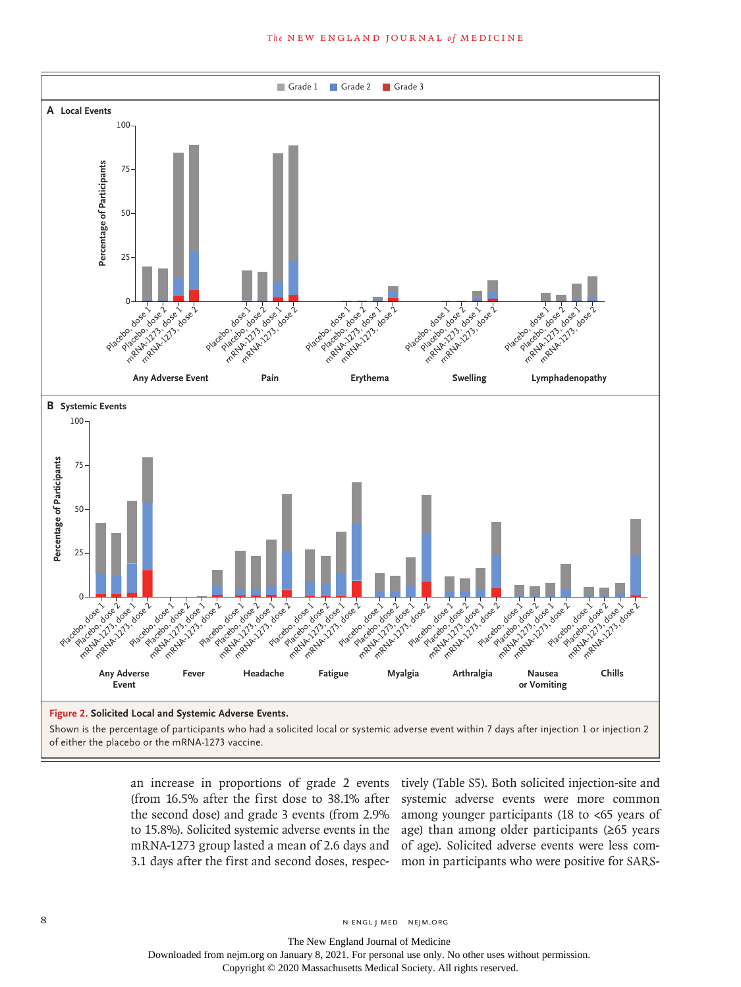

an increase in proportions of grade 2 events (from 16.5% after the first dose to 38.1% after the second dose) and grade 3 events (from 2.9% to 15.8%). Solicited systemic adverse events in the 3.1 days after the first and second doses, respec-

mRNA-1273 group lasted a mean of 2.6 days and of age). Solicited adverse events were less comtively (Table S5). Both solicited injection-site and systemic adverse events were more common among younger participants (18 to <65 years of age) than among older participants (≥65 years mon in participants who were positive for SARS-

8 N ENGL J MED NEJM.ORG

The New England Journal of Medicine Downloaded from nejm.org on January 8, 2021. For personal use only. No other uses without permission.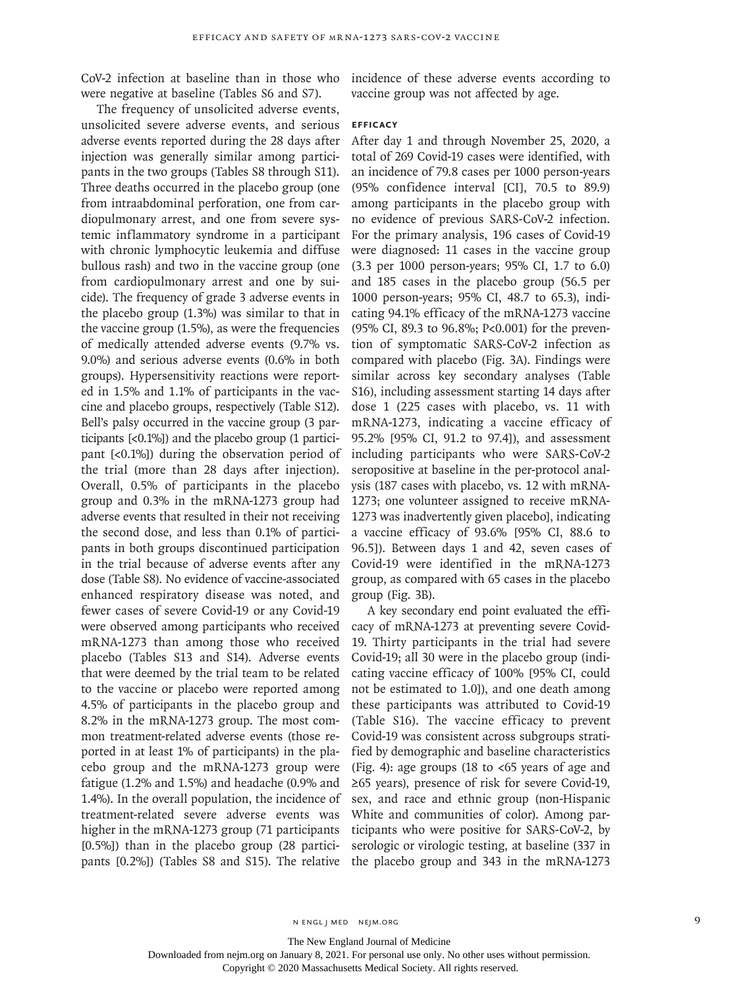were negative at baseline (Tables S6 and S7).

The frequency of unsolicited adverse events, unsolicited severe adverse events, and serious adverse events reported during the 28 days after injection was generally similar among participants in the two groups (Tables S8 through S11). Three deaths occurred in the placebo group (one from intraabdominal perforation, one from cardiopulmonary arrest, and one from severe systemic inflammatory syndrome in a participant with chronic lymphocytic leukemia and diffuse bullous rash) and two in the vaccine group (one from cardiopulmonary arrest and one by suicide). The frequency of grade 3 adverse events in the placebo group (1.3%) was similar to that in the vaccine group (1.5%), as were the frequencies of medically attended adverse events (9.7% vs. 9.0%) and serious adverse events (0.6% in both groups). Hypersensitivity reactions were reported in 1.5% and 1.1% of participants in the vaccine and placebo groups, respectively (Table S12). Bell's palsy occurred in the vaccine group (3 participants [<0.1%]) and the placebo group (1 participant [<0.1%]) during the observation period of the trial (more than 28 days after injection). Overall, 0.5% of participants in the placebo group and 0.3% in the mRNA-1273 group had adverse events that resulted in their not receiving the second dose, and less than 0.1% of participants in both groups discontinued participation in the trial because of adverse events after any dose (Table S8). No evidence of vaccine-associated enhanced respiratory disease was noted, and fewer cases of severe Covid-19 or any Covid-19 were observed among participants who received mRNA-1273 than among those who received placebo (Tables S13 and S14). Adverse events that were deemed by the trial team to be related to the vaccine or placebo were reported among 4.5% of participants in the placebo group and 8.2% in the mRNA-1273 group. The most common treatment-related adverse events (those reported in at least 1% of participants) in the placebo group and the mRNA-1273 group were fatigue (1.2% and 1.5%) and headache (0.9% and 1.4%). In the overall population, the incidence of treatment-related severe adverse events was higher in the mRNA-1273 group (71 participants [0.5%]) than in the placebo group (28 participants [0.2%]) (Tables S8 and S15). The relative

CoV-2 infection at baseline than in those who incidence of these adverse events according to vaccine group was not affected by age.

#### **Efficacy**

After day 1 and through November 25, 2020, a total of 269 Covid-19 cases were identified, with an incidence of 79.8 cases per 1000 person-years (95% confidence interval [CI], 70.5 to 89.9) among participants in the placebo group with no evidence of previous SARS-CoV-2 infection. For the primary analysis, 196 cases of Covid-19 were diagnosed: 11 cases in the vaccine group (3.3 per 1000 person-years; 95% CI, 1.7 to 6.0) and 185 cases in the placebo group (56.5 per 1000 person-years; 95% CI, 48.7 to 65.3), indicating 94.1% efficacy of the mRNA-1273 vaccine (95% CI, 89.3 to 96.8%; P<0.001) for the prevention of symptomatic SARS-CoV-2 infection as compared with placebo (Fig. 3A). Findings were similar across key secondary analyses (Table S16), including assessment starting 14 days after dose 1 (225 cases with placebo, vs. 11 with mRNA-1273, indicating a vaccine efficacy of 95.2% [95% CI, 91.2 to 97.4]), and assessment including participants who were SARS-CoV-2 seropositive at baseline in the per-protocol analysis (187 cases with placebo, vs. 12 with mRNA-1273; one volunteer assigned to receive mRNA-1273 was inadvertently given placebo], indicating a vaccine efficacy of 93.6% [95% CI, 88.6 to 96.5]). Between days 1 and 42, seven cases of Covid-19 were identified in the mRNA-1273 group, as compared with 65 cases in the placebo group (Fig. 3B).

A key secondary end point evaluated the efficacy of mRNA-1273 at preventing severe Covid-19. Thirty participants in the trial had severe Covid-19; all 30 were in the placebo group (indicating vaccine efficacy of 100% [95% CI, could not be estimated to 1.0]), and one death among these participants was attributed to Covid-19 (Table S16). The vaccine efficacy to prevent Covid-19 was consistent across subgroups stratified by demographic and baseline characteristics (Fig. 4): age groups (18 to  $<65$  years of age and ≥65 years), presence of risk for severe Covid-19, sex, and race and ethnic group (non-Hispanic White and communities of color). Among participants who were positive for SARS-CoV-2, by serologic or virologic testing, at baseline (337 in the placebo group and 343 in the mRNA-1273

The New England Journal of Medicine

Downloaded from nejm.org on January 8, 2021. For personal use only. No other uses without permission.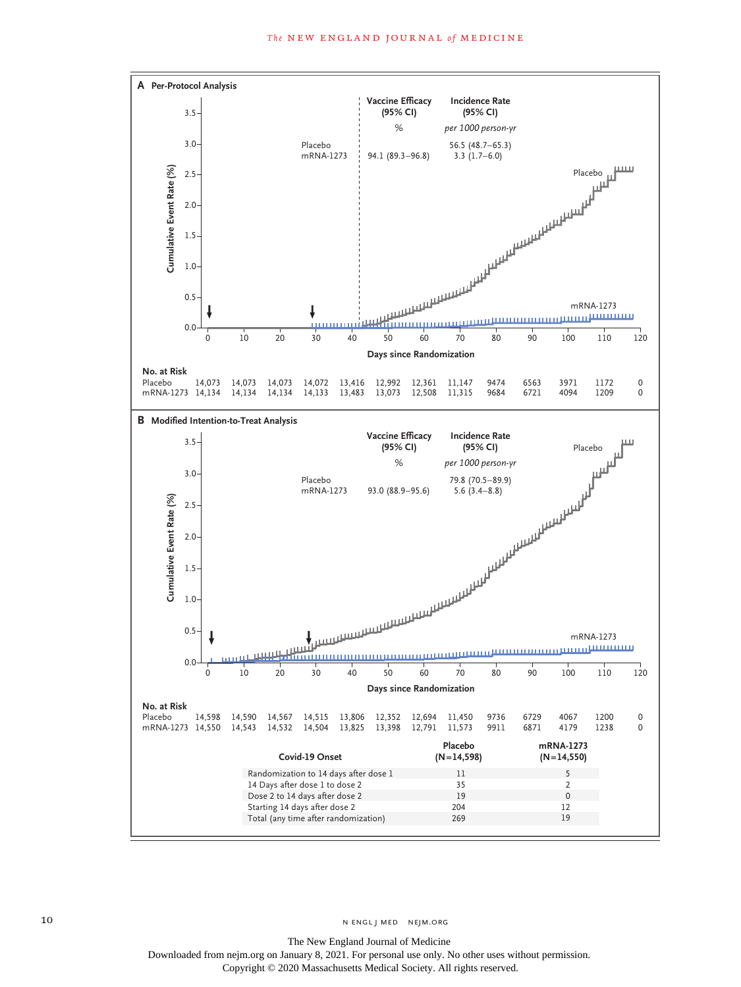

10 N ENGL J MED NEJM.ORG

The New England Journal of Medicine Downloaded from nejm.org on January 8, 2021. For personal use only. No other uses without permission. Copyright © 2020 Massachusetts Medical Society. All rights reserved.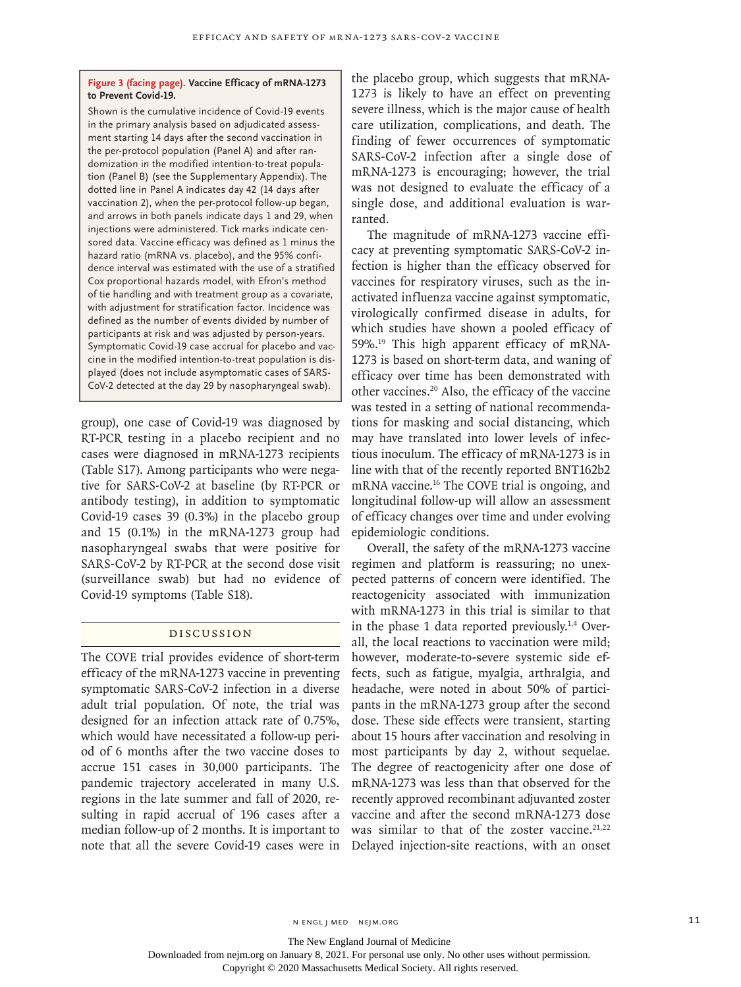# **Figure 3 (facing page). Vaccine Efficacy of mRNA-1273 to Prevent Covid-19.**

Shown is the cumulative incidence of Covid-19 events in the primary analysis based on adjudicated assessment starting 14 days after the second vaccination in the per-protocol population (Panel A) and after randomization in the modified intention-to-treat population (Panel B) (see the Supplementary Appendix). The dotted line in Panel A indicates day 42 (14 days after vaccination 2), when the per-protocol follow-up began, and arrows in both panels indicate days 1 and 29, when injections were administered. Tick marks indicate censored data. Vaccine efficacy was defined as 1 minus the hazard ratio (mRNA vs. placebo), and the 95% confidence interval was estimated with the use of a stratified Cox proportional hazards model, with Efron's method of tie handling and with treatment group as a covariate, with adjustment for stratification factor. Incidence was defined as the number of events divided by number of participants at risk and was adjusted by person-years. Symptomatic Covid-19 case accrual for placebo and vaccine in the modified intention-to-treat population is displayed (does not include asymptomatic cases of SARS-CoV-2 detected at the day 29 by nasopharyngeal swab).

group), one case of Covid-19 was diagnosed by RT-PCR testing in a placebo recipient and no cases were diagnosed in mRNA-1273 recipients (Table S17). Among participants who were negative for SARS-CoV-2 at baseline (by RT-PCR or antibody testing), in addition to symptomatic Covid-19 cases 39 (0.3%) in the placebo group and 15 (0.1%) in the mRNA-1273 group had nasopharyngeal swabs that were positive for SARS-CoV-2 by RT-PCR at the second dose visit (surveillance swab) but had no evidence of Covid-19 symptoms (Table S18).

# Discussion

The COVE trial provides evidence of short-term efficacy of the mRNA-1273 vaccine in preventing symptomatic SARS-CoV-2 infection in a diverse adult trial population. Of note, the trial was designed for an infection attack rate of 0.75%, which would have necessitated a follow-up period of 6 months after the two vaccine doses to accrue 151 cases in 30,000 participants. The pandemic trajectory accelerated in many U.S. regions in the late summer and fall of 2020, resulting in rapid accrual of 196 cases after a median follow-up of 2 months. It is important to note that all the severe Covid-19 cases were in Delayed injection-site reactions, with an onset

the placebo group, which suggests that mRNA-1273 is likely to have an effect on preventing severe illness, which is the major cause of health care utilization, complications, and death. The finding of fewer occurrences of symptomatic SARS-CoV-2 infection after a single dose of mRNA-1273 is encouraging; however, the trial was not designed to evaluate the efficacy of a single dose, and additional evaluation is warranted.

The magnitude of mRNA-1273 vaccine efficacy at preventing symptomatic SARS-CoV-2 infection is higher than the efficacy observed for vaccines for respiratory viruses, such as the inactivated influenza vaccine against symptomatic, virologically confirmed disease in adults, for which studies have shown a pooled efficacy of 59%.19 This high apparent efficacy of mRNA-1273 is based on short-term data, and waning of efficacy over time has been demonstrated with other vaccines.20 Also, the efficacy of the vaccine was tested in a setting of national recommendations for masking and social distancing, which may have translated into lower levels of infectious inoculum. The efficacy of mRNA-1273 is in line with that of the recently reported BNT162b2 mRNA vaccine.16 The COVE trial is ongoing, and longitudinal follow-up will allow an assessment of efficacy changes over time and under evolving epidemiologic conditions.

Overall, the safety of the mRNA-1273 vaccine regimen and platform is reassuring; no unexpected patterns of concern were identified. The reactogenicity associated with immunization with mRNA-1273 in this trial is similar to that in the phase 1 data reported previously.<sup>1,4</sup> Overall, the local reactions to vaccination were mild; however, moderate-to-severe systemic side effects, such as fatigue, myalgia, arthralgia, and headache, were noted in about 50% of participants in the mRNA-1273 group after the second dose. These side effects were transient, starting about 15 hours after vaccination and resolving in most participants by day 2, without sequelae. The degree of reactogenicity after one dose of mRNA-1273 was less than that observed for the recently approved recombinant adjuvanted zoster vaccine and after the second mRNA-1273 dose was similar to that of the zoster vaccine. $21,22$ 

The New England Journal of Medicine

Downloaded from nejm.org on January 8, 2021. For personal use only. No other uses without permission.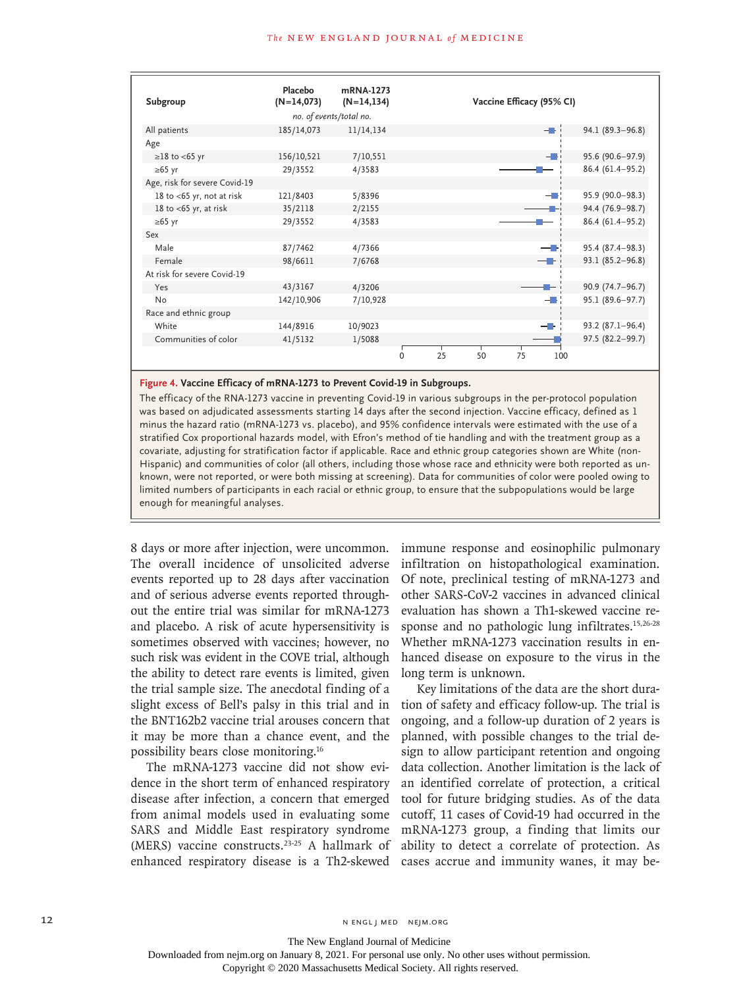| Subgroup                      | Placebo<br>$(N=14,073)$ | mRNA-1273<br>$(N=14, 134)$ |              |    |    | Vaccine Efficacy (95% CI) |      |                      |
|-------------------------------|-------------------------|----------------------------|--------------|----|----|---------------------------|------|----------------------|
|                               |                         | no. of events/total no.    |              |    |    |                           |      |                      |
| All patients                  | 185/14,073              | 11/14,134                  |              |    |    |                           | - Li | 94.1 (89.3-96.8)     |
| Age                           |                         |                            |              |    |    |                           |      |                      |
| $\geq$ 18 to <65 yr           | 156/10,521              | 7/10,551                   |              |    |    |                           | - -  | 95.6 (90.6-97.9)     |
| $\geq 65$ yr                  | 29/3552                 | 4/3583                     |              |    |    |                           |      | 86.4 (61.4-95.2)     |
| Age, risk for severe Covid-19 |                         |                            |              |    |    |                           |      |                      |
| 18 to <65 yr, not at risk     | 121/8403                | 5/8396                     |              |    |    |                           | — H  | 95.9 (90.0-98.3)     |
| 18 to $<$ 65 yr, at risk      | 35/2118                 | 2/2155                     |              |    |    |                           |      | 94.4 (76.9-98.7)     |
| $\geq 65$ yr                  | 29/3552                 | 4/3583                     |              |    |    |                           |      | 86.4 (61.4-95.2)     |
| Sex                           |                         |                            |              |    |    |                           |      |                      |
| Male                          | 87/7462                 | 4/7366                     |              |    |    |                           | — Н  | 95.4 (87.4-98.3)     |
| Female                        | 98/6611                 | 7/6768                     |              |    |    |                           | --   | $93.1 (85.2 - 96.8)$ |
| At risk for severe Covid-19   |                         |                            |              |    |    |                           |      |                      |
| Yes                           | 43/3167                 | 4/3206                     |              |    |    |                           |      | 90.9 (74.7-96.7)     |
| No                            | 142/10,906              | 7/10,928                   |              |    |    |                           | HH.  | 95.1 (89.6-97.7)     |
| Race and ethnic group         |                         |                            |              |    |    |                           |      |                      |
| White                         | 144/8916                | 10/9023                    |              |    |    |                           | — -  | $93.2 (87.1 - 96.4)$ |
| Communities of color          | 41/5132                 | 1/5088                     |              |    |    |                           |      | 97.5 (82.2-99.7)     |
|                               |                         |                            | $\mathbf{0}$ | 25 | 50 | 75                        | 100  |                      |

**Figure 4. Vaccine Efficacy of mRNA-1273 to Prevent Covid-19 in Subgroups.**

The efficacy of the RNA-1273 vaccine in preventing Covid-19 in various subgroups in the per-protocol population was based on adjudicated assessments starting 14 days after the second injection. Vaccine efficacy, defined as 1 minus the hazard ratio (mRNA-1273 vs. placebo), and 95% confidence intervals were estimated with the use of a stratified Cox proportional hazards model, with Efron's method of tie handling and with the treatment group as a covariate, adjusting for stratification factor if applicable. Race and ethnic group categories shown are White (non-Hispanic) and communities of color (all others, including those whose race and ethnicity were both reported as unknown, were not reported, or were both missing at screening). Data for communities of color were pooled owing to limited numbers of participants in each racial or ethnic group, to ensure that the subpopulations would be large enough for meaningful analyses.

8 days or more after injection, were uncommon. The overall incidence of unsolicited adverse events reported up to 28 days after vaccination and of serious adverse events reported throughout the entire trial was similar for mRNA-1273 and placebo. A risk of acute hypersensitivity is sometimes observed with vaccines; however, no such risk was evident in the COVE trial, although the ability to detect rare events is limited, given the trial sample size. The anecdotal finding of a slight excess of Bell's palsy in this trial and in the BNT162b2 vaccine trial arouses concern that it may be more than a chance event, and the possibility bears close monitoring.16

The mRNA-1273 vaccine did not show evidence in the short term of enhanced respiratory disease after infection, a concern that emerged from animal models used in evaluating some SARS and Middle East respiratory syndrome (MERS) vaccine constructs.23-25 A hallmark of enhanced respiratory disease is a Th2-skewed cases accrue and immunity wanes, it may be-

immune response and eosinophilic pulmonary infiltration on histopathological examination. Of note, preclinical testing of mRNA-1273 and other SARS-CoV-2 vaccines in advanced clinical evaluation has shown a Th1-skewed vaccine response and no pathologic lung infiltrates.<sup>15,26-28</sup> Whether mRNA-1273 vaccination results in enhanced disease on exposure to the virus in the long term is unknown.

Key limitations of the data are the short duration of safety and efficacy follow-up. The trial is ongoing, and a follow-up duration of 2 years is planned, with possible changes to the trial design to allow participant retention and ongoing data collection. Another limitation is the lack of an identified correlate of protection, a critical tool for future bridging studies. As of the data cutoff, 11 cases of Covid-19 had occurred in the mRNA-1273 group, a finding that limits our ability to detect a correlate of protection. As

The New England Journal of Medicine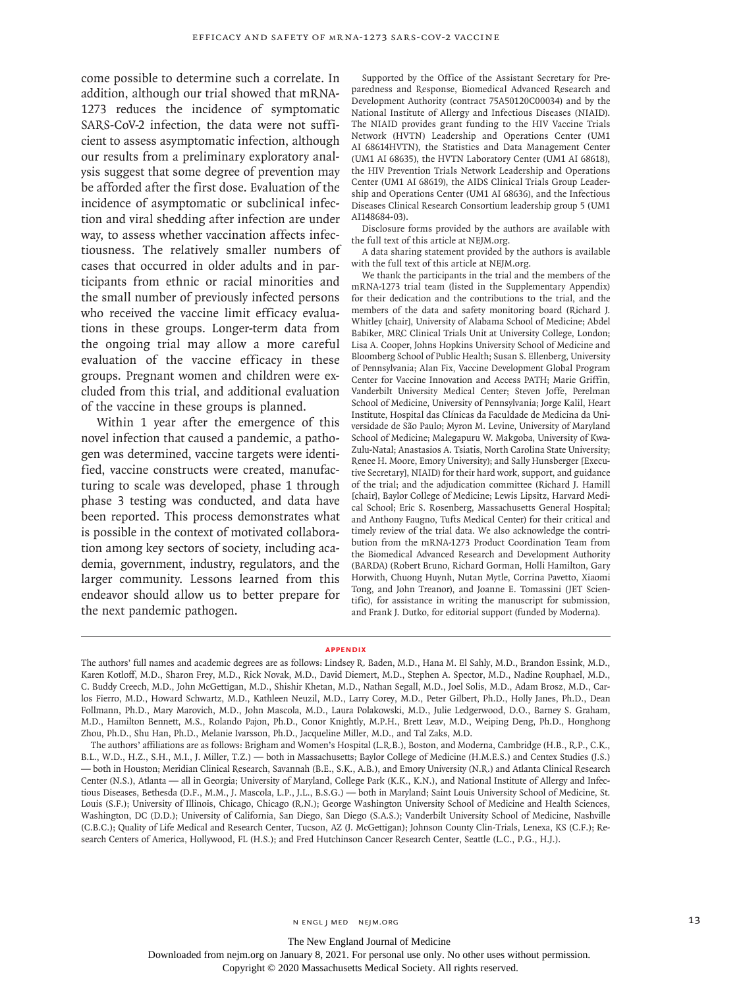come possible to determine such a correlate. In addition, although our trial showed that mRNA-1273 reduces the incidence of symptomatic SARS-CoV-2 infection, the data were not sufficient to assess asymptomatic infection, although our results from a preliminary exploratory analysis suggest that some degree of prevention may be afforded after the first dose. Evaluation of the incidence of asymptomatic or subclinical infection and viral shedding after infection are under way, to assess whether vaccination affects infectiousness. The relatively smaller numbers of cases that occurred in older adults and in participants from ethnic or racial minorities and the small number of previously infected persons who received the vaccine limit efficacy evaluations in these groups. Longer-term data from the ongoing trial may allow a more careful evaluation of the vaccine efficacy in these groups. Pregnant women and children were excluded from this trial, and additional evaluation of the vaccine in these groups is planned.

Within 1 year after the emergence of this novel infection that caused a pandemic, a pathogen was determined, vaccine targets were identified, vaccine constructs were created, manufacturing to scale was developed, phase 1 through phase 3 testing was conducted, and data have been reported. This process demonstrates what is possible in the context of motivated collaboration among key sectors of society, including academia, government, industry, regulators, and the larger community. Lessons learned from this endeavor should allow us to better prepare for the next pandemic pathogen.

Supported by the Office of the Assistant Secretary for Preparedness and Response, Biomedical Advanced Research and Development Authority (contract 75A50120C00034) and by the National Institute of Allergy and Infectious Diseases (NIAID). The NIAID provides grant funding to the HIV Vaccine Trials Network (HVTN) Leadership and Operations Center (UM1 AI 68614HVTN), the Statistics and Data Management Center (UM1 AI 68635), the HVTN Laboratory Center (UM1 AI 68618), the HIV Prevention Trials Network Leadership and Operations Center (UM1 AI 68619), the AIDS Clinical Trials Group Leadership and Operations Center (UM1 AI 68636), and the Infectious Diseases Clinical Research Consortium leadership group 5 (UM1 AI148684-03).

Disclosure forms provided by the authors are available with the full text of this article at NEJM.org.

A data sharing statement provided by the authors is available with the full text of this article at NEJM.org.

We thank the participants in the trial and the members of the mRNA-1273 trial team (listed in the Supplementary Appendix) for their dedication and the contributions to the trial, and the members of the data and safety monitoring board (Richard J. Whitley [chair], University of Alabama School of Medicine; Abdel Babiker, MRC Clinical Trials Unit at University College, London; Lisa A. Cooper, Johns Hopkins University School of Medicine and Bloomberg School of Public Health; Susan S. Ellenberg, University of Pennsylvania; Alan Fix, Vaccine Development Global Program Center for Vaccine Innovation and Access PATH; Marie Griffin, Vanderbilt University Medical Center; Steven Joffe, Perelman School of Medicine, University of Pennsylvania; Jorge Kalil, Heart Institute, Hospital das Clínicas da Faculdade de Medicina da Universidade de São Paulo; Myron M. Levine, University of Maryland School of Medicine; Malegapuru W. Makgoba, University of Kwa-Zulu-Natal; Anastasios A. Tsiatis, North Carolina State University; Renee H. Moore, Emory University); and Sally Hunsberger [Executive Secretary], NIAID) for their hard work, support, and guidance of the trial; and the adjudication committee (Richard J. Hamill [chair], Baylor College of Medicine; Lewis Lipsitz, Harvard Medical School; Eric S. Rosenberg, Massachusetts General Hospital; and Anthony Faugno, Tufts Medical Center) for their critical and timely review of the trial data. We also acknowledge the contribution from the mRNA-1273 Product Coordination Team from the Biomedical Advanced Research and Development Authority (BARDA) (Robert Bruno, Richard Gorman, Holli Hamilton, Gary Horwith, Chuong Huynh, Nutan Mytle, Corrina Pavetto, Xiaomi Tong, and John Treanor), and Joanne E. Tomassini (JET Scientific), for assistance in writing the manuscript for submission, and Frank J. Dutko, for editorial support (funded by Moderna).

#### **Appendix**

The authors' full names and academic degrees are as follows: Lindsey R. Baden, M.D., Hana M. El Sahly, M.D., Brandon Essink, M.D., Karen Kotloff, M.D., Sharon Frey, M.D., Rick Novak, M.D., David Diemert, M.D., Stephen A. Spector, M.D., Nadine Rouphael, M.D., C. Buddy Creech, M.D., John McGettigan, M.D., Shishir Khetan, M.D., Nathan Segall, M.D., Joel Solis, M.D., Adam Brosz, M.D., Carlos Fierro, M.D., Howard Schwartz, M.D., Kathleen Neuzil, M.D., Larry Corey, M.D., Peter Gilbert, Ph.D., Holly Janes, Ph.D., Dean Follmann, Ph.D., Mary Marovich, M.D., John Mascola, M.D., Laura Polakowski, M.D., Julie Ledgerwood, D.O., Barney S. Graham, M.D., Hamilton Bennett, M.S., Rolando Pajon, Ph.D., Conor Knightly, M.P.H., Brett Leav, M.D., Weiping Deng, Ph.D., Honghong Zhou, Ph.D., Shu Han, Ph.D., Melanie Ivarsson, Ph.D., Jacqueline Miller, M.D., and Tal Zaks, M.D.

The authors' affiliations are as follows: Brigham and Women's Hospital (L.R.B.), Boston, and Moderna, Cambridge (H.B., R.P., C.K., B.L., W.D., H.Z., S.H., M.I., J. Miller, T.Z.) — both in Massachusetts; Baylor College of Medicine (H.M.E.S.) and Centex Studies (J.S.) — both in Houston; Meridian Clinical Research, Savannah (B.E., S.K., A.B.), and Emory University (N.R.) and Atlanta Clinical Research Center (N.S.), Atlanta — all in Georgia; University of Maryland, College Park (K.K., K.N.), and National Institute of Allergy and Infectious Diseases, Bethesda (D.F., M.M., J. Mascola, L.P., J.L., B.S.G.) — both in Maryland; Saint Louis University School of Medicine, St. Louis (S.F.); University of Illinois, Chicago, Chicago (R.N.); George Washington University School of Medicine and Health Sciences, Washington, DC (D.D.); University of California, San Diego, San Diego (S.A.S.); Vanderbilt University School of Medicine, Nashville (C.B.C.); Quality of Life Medical and Research Center, Tucson, AZ (J. McGettigan); Johnson County Clin-Trials, Lenexa, KS (C.F.); Research Centers of America, Hollywood, FL (H.S.); and Fred Hutchinson Cancer Research Center, Seattle (L.C., P.G., H.J.).